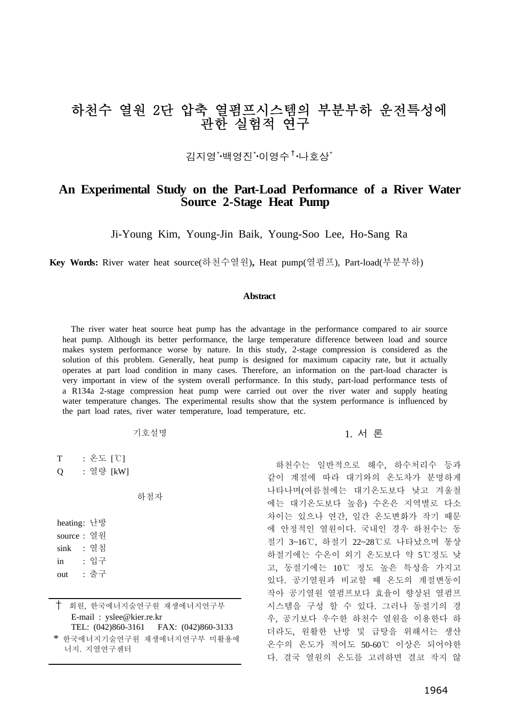# 하천수 열원 2단 압축 열펌프시스템의 부분부하 운전특성에 관한 실험적 연구

김지영<sup>\*</sup>·백영진<sup>\*</sup>·이영수<sup>†</sup>·나호상<sup>\*</sup>

## **An Experimental Study on the Part-Load Performance of a River Water Source 2-Stage Heat Pump**

Ji-Young Kim, Young-Jin Baik, Young-Soo Lee, Ho-Sang Ra

**Key Words:** River water heat source(하천수열원)**,** Heat pump(열펌프), Part-load(부분부하)

#### **Abstract**

The river water heat source heat pump has the advantage in the performance compared to air source heat pump. Although its better performance, the large temperature difference between load and source makes system performance worse by nature. In this study, 2-stage compression is considered as the solution of this problem. Generally, heat pump is designed for maximum capacity rate, but it actually operates at part load condition in many cases. Therefore, an information on the part-load character is very important in view of the system overall performance. In this study, part-load performance tests of a R134a 2-stage compression heat pump were carried out over the river water and supply heating water temperature changes. The experimental results show that the system performance is influenced by the part load rates, river water temperature, load temperature, etc.

| 기호설명             | 1. 서론 |
|------------------|-------|
|                  |       |
| $0 \Gamma$ $1\%$ |       |

하천수는 일반적으로 해수, 하수처리수 등과 같이 계절에 따라 대기와의 온도차가 분명하게 나타나며(여름철에는 대기온도보다 낮고 겨울철 에는 대기온도보다 높음) 수온은 지역별로 다소 차이는 있으나 연간, 일간 온도변화가 작기 때문 에 안정적인 열원이다. 국내인 경우 하천수는 동 절기 3~16℃, 하절기 22~28℃로 나타났으며 통상 하절기에는 수온이 외기 온도보다 약 5℃정도 낮 고, 동절기에는 10℃ 정도 높은 특성을 가지고 있다. 공기열원과 비교할 때 온도의 계절변동이 작아 공기열원 열펌프보다 효율이 향상된 열펌프 시스템을 구성 할 수 있다. 그러나 동절기의 경 우, 공기보다 우수한 하천수 열원을 이용한다 하 더라도, 원활한 난방 및 급탕을 위해서는 생산 온수의 온도가 적어도 50-60℃ 이상은 되어야한 다. 결국 열원의 온도를 고려하면 결코 작지 않

|   | : 논도   U  |     |
|---|-----------|-----|
| О | : 열량 [kW] |     |
|   |           | 하첨자 |

| heating: 난방 |    |      |
|-------------|----|------|
| source : 열워 |    |      |
| sink        | ÷. | 열침   |
| in          |    | : 입구 |
| out         | ÷. | 줄구   |

† 회원, 한국에너지술연구원 재생에너지연구부 E-mail : yslee@kier.re.kr TEL: (042)860-3161 FAX: (042)860-3133 \* 한국에너지기술연구원 재생에너지연구부 미활용에

너지. 지열연구센터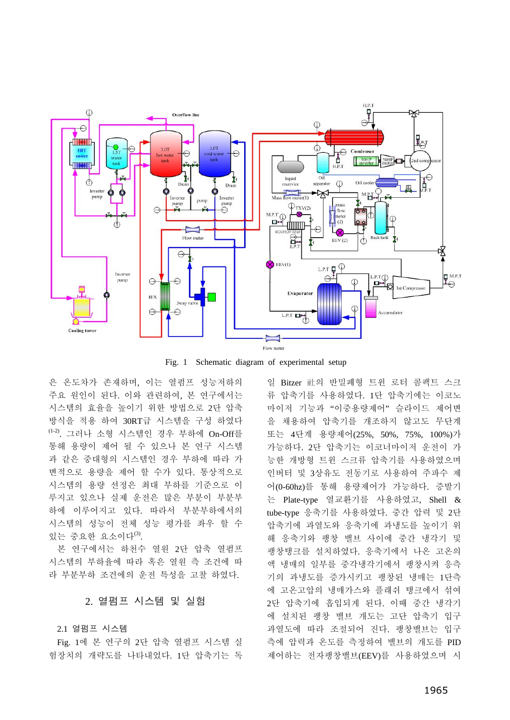

Fig. 1 Schematic diagram of experimental setup

은 온도차가 존재하며, 이는 열펌프 성능저하의 주요 원인이 된다. 이와 관련하여, 본 연구에서는 시스템의 효율을 높이기 위한 방법으로 2단 압축 방식을 적용 하여 30RT급 시스템을 구성 하였다 (1-2). 그러나 소형 시스템인 경우 부하에 On-Off를 통해 용량이 제어 될 수 있으나 본 연구 시스템 과 같은 중대형의 시스템인 경우 부하에 따라 가 변적으로 용량을 제어 할 수가 있다. 통상적으로 시스템의 용량 선정은 최대 부하를 기준으로 이 루지고 있으나 실제 운전은 많은 부분이 부분부 하에 이루어지고 있다. 따라서 부분부하에서의 시스템의 성능이 전체 성능 평가를 좌우 할 수 있는 중요한 요소이다 $^{(3)}$ .

본 연구에서는 하천수 열원 2단 압축 열펌프 시스템의 부하율에 따라 혹은 열원 측 조건에 따 라 부분부하 조건에의 운전 특성을 고찰 하였다.

#### 2. 열펌프 시스템 및 실험

2.1 열펌프 시스템

Fig. 1에 본 연구의 2단 압축 열펌프 시스템 실 험장치의 개략도를 나타내었다. 1단 압축기는 독 일 Bitzer 社의 반밀폐형 트윈 로터 콤팩트 스크 류 압축기를 사용하였다. 1단 압축기에는 이코노 마이저 기능과 "이중용량제어" 슬라이드 제어변 을 채용하여 압축기를 개조하지 않고도 무단계 또는 4단계 용량제어(25%, 50%, 75%, 100%)가 가능하다. 2단 압축기는 이코너마이저 운전이 가 능한 개방형 트윈 스크류 압축기를 사용하였으며 인버터 및 3상유도 전동기로 사용하여 주파수 제 어(0-60hz)를 통해 용량제어가 가능하다. 증발기 는 Plate-type 열교환기를 사용하였고, Shell & tube-type 응축기를 사용하였다. 중간 압력 및 2단 압축기에 과열도와 응축기에 과냉도를 높이기 위 해 응축기와 팽창 밸브 사이에 중간 냉각기 및 팽창탱크를 설치하였다. 응축기에서 나온 고온의 액 냉매의 일부를 중각냉각기에서 팽창시켜 응측 기의 과냉도를 증가시키고 팽창된 냉매는 1단측 에 고온고압의 냉매가스와 플래쉬 탱크에서 섞여 2단 압축기에 흡입되게 된다. 이때 중간 냉각기 에 설치된 팽창 밸브 개도는 고단 압축기 입구 과열도에 따라 조절되어 진다. 팽창밸브는 입구 측에 압력과 온도를 측정하여 밸브의 개도를 PID 제어하는 전자팽창밸브(EEV)를 사용하였으며 시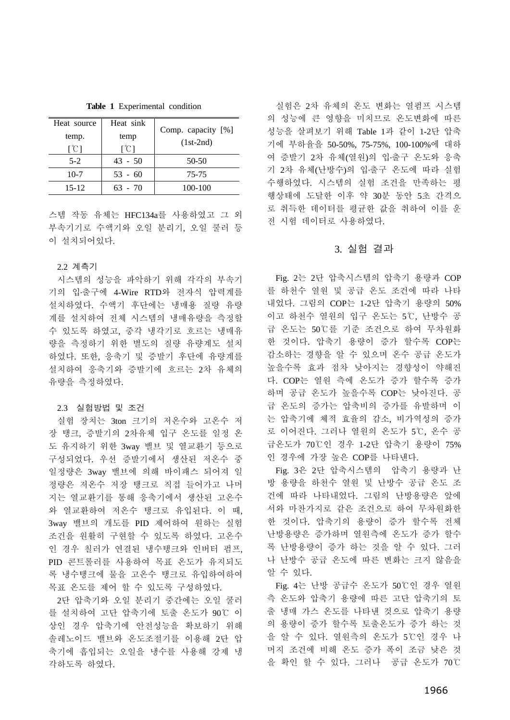**Table 1** Experimental condition

| Heat source               | Heat sink                 | Comp. capacity [%] |
|---------------------------|---------------------------|--------------------|
| temp.                     | temp                      |                    |
| $\lceil \text{°C} \rceil$ | $\lceil \text{°C} \rceil$ | $(1st-2nd)$        |
| $5-2$                     | $43 - 50$                 | $50-50$            |
| $10-7$                    | $53 - 60$                 | 75-75              |
| 15-12                     | 63 - 70                   | 100-100            |

스템 작동 유체는 HFC134a를 사용하였고 그 외 부속기기로 수액기와 오일 분리기, 오일 쿨러 등 이 설치되어있다.

#### 2.2 계측기

시스템의 성능을 파악하기 위해 각각의 부속기 기의 입․출구에 4-Wire RTD와 전자식 압력계를 설치하였다. 수액기 후단에는 냉매용 질량 유량 계를 설치하여 전체 시스템의 냉매유량을 측정할 수 있도록 하였고, 중각 냉각기로 흐르는 냉매유 량을 측정하기 위한 별도의 질량 유량계도 설치 하였다. 또한, 응축기 및 증발기 후단에 유량계를 설치하여 응축기와 증발기에 흐르는 2차 유체의 유량을 측정하였다.

#### 2.3 실험방법 및 조건

실험 장치는 3ton 크기의 저온수와 고온수 저 장 탱크, 증발기의 2차유체 입구 온도를 일정 온 도 유지하기 위한 3way 밸브 및 열교환기 등으로 구성되었다. 우선 증발기에서 생산된 저온수 중 일정량은 3way 밸브에 의해 바이패스 되어져 일 정량은 저온수 저장 탱크로 직접 들어가고 나머 지는 열교환기를 통해 응축기에서 생산된 고온수 와 열교환하여 저온수 탱크로 유입된다. 이 때, 3way 밸브의 개도를 PID 제어하여 원하는 실험 조건을 원활히 구현할 수 있도록 하였다. 고온수 인 경우 칠러가 연결된 냉수탱크와 인버터 펌프, PID 콘트롤러를 사용하여 목표 온도가 유지되도 록 냉수탱크에 물을 고온수 탱크로 유입하여하여 목표 온도를 제어 할 수 있도록 구성하였다.

2단 압축기와 오일 분리기 중간에는 오일 쿨러 를 설치하여 고단 압축기에 토출 온도가 90℃ 이 상인 경우 압축기에 안전성능을 확보하기 위해 솔레노이드 밸브와 온도조절기를 이용해 2단 압 축기에 흡입되는 오일을 냉수를 사용해 강제 냉 각하도록 하였다.

실험은 2차 유체의 온도 변화는 열펌프 시스템 의 성능에 큰 영향을 미치므로 온도변화에 따른 성능을 살펴보기 위해 Table 1과 같이 1-2단 압축 기에 부하율을 50-50%, 75-75%, 100-100%에 대하 여 증발기 2차 유체(열원)의 입․출구 온도와 응축 기 2차 유체(난방수)의 입․출구 온도에 따라 실험 수행하였다. 시스템의 실험 조건을 만족하는 평 행상태에 도달한 이후 약 30분 동안 5초 간격으 로 취득한 데이터를 평균한 값을 취하여 이를 운 전 시험 데이터로 사용하였다.

### 3. 실험 결과

Fig. 2는 2단 압축시스템의 압축기 용량과 COP 를 하천수 열원 및 공급 온도 조건에 따라 나타 내었다. 그림의 COP는 1-2단 압축기 용량의 50% 이고 하천수 열원의 입구 온도는 5℃, 난방수 공 급 온도는 50℃를 기준 조건으로 하여 무차원화 한 것이다. 압축기 용량이 증가 할수록 COP는 감소하는 경향을 알 수 있으며 온수 공급 온도가 높을수록 효과 점차 낮아지는 경향성이 약해진 다. COP는 열원 측에 온도가 증가 할수록 증가 하며 공급 온도가 높을수록 COP는 낮아진다. 공 급 온도의 증가는 압축비의 증가를 유발하며 이 는 압축기에 체적 효율의 감소, 비가역성의 증가 로 이어진다. 그러나 열원의 온도가 5℃, 온수 공 급온도가 70℃인 경우 1-2단 압축기 용량이 75% 인 경우에 가장 높은 COP를 나타낸다.

Fig. 3은 2단 압축시스템의 압축기 용량과 난 방 용량을 하천수 열원 및 난방수 공급 온도 조 건에 따라 나타내었다. 그림의 난방용량은 앞에 서와 마찬가지로 같은 조건으로 하여 무차원화한 한 것이다. 압축기의 용량이 증가 할수록 전체 난방용량은 증가하며 열원측에 온도가 증가 할수 록 난방용량이 증가 하는 것을 알 수 있다. 그러 나 난방수 공급 온도에 따른 변화는 크지 않음을 알 수 있다.

Fig. 4는 난방 공급수 온도가 50℃인 경우 열원 측 온도와 압축기 용량에 따른 고단 압축기의 토 출 냉매 가스 온도를 나타낸 것으로 압축기 용량 의 용량이 증가 할수록 토출온도가 증가 하는 것 을 알 수 있다. 열원측의 온도가 5℃인 경우 나 머지 조건에 비해 온도 증가 폭이 조금 낮은 것 을 확인 할 수 있다. 그러나 공급 온도가 70℃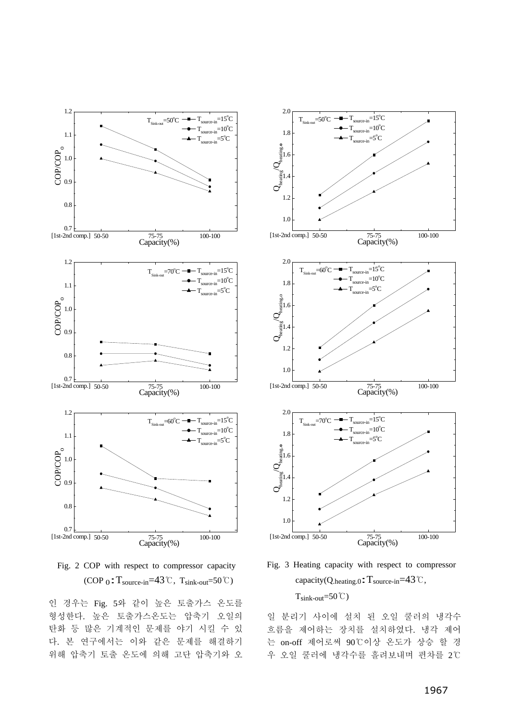



인 경우는 Fig. 5와 같이 높은 토출가스 온도를 형성한다. 높은 토출가스온도는 압축기 오일의 탄화 등 많은 기계적인 문제를 야기 시킬 수 있 다. 본 연구에서는 이와 같은 문제를 해결하기 위해 압축기 토출 온도에 의해 고단 압축기와 오



Fig. 3 Heating capacity with respect to compressor capacity(Q.heating.0:Tsource-in=43℃,  $T_{\text{sink-out}} = 50^{\circ}$ 

일 분리기 사이에 설치 된 오일 쿨러의 냉각수 흐름을 제어하는 장치를 설치하였다. 냉각 제어 는 on-off 제어로써 90℃이상 온도가 상승 할 경 우 오일 쿨러에 냉각수를 흘려보내며 편차를 2℃